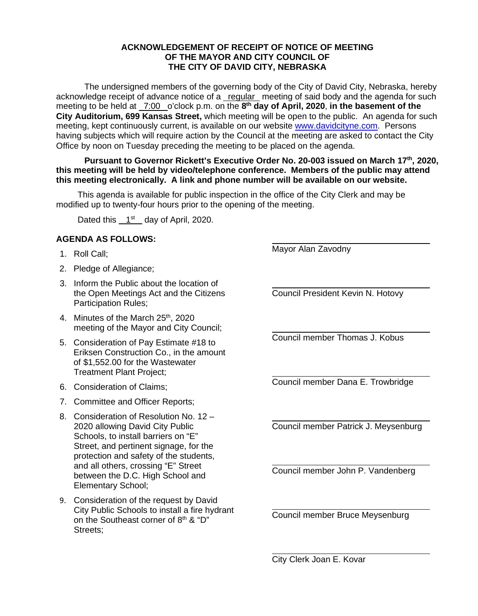## **ACKNOWLEDGEMENT OF RECEIPT OF NOTICE OF MEETING OF THE MAYOR AND CITY COUNCIL OF THE CITY OF DAVID CITY, NEBRASKA**

The undersigned members of the governing body of the City of David City, Nebraska, hereby acknowledge receipt of advance notice of a regular meeting of said body and the agenda for such meeting to be held at \_7:00 \_o'clock p.m. on the 8<sup>th</sup> day of April, 2020, in the basement of the **City Auditorium, 699 Kansas Street,** which meeting will be open to the public. An agenda for such meeting, kept continuously current, is available on our websit[e www.davidcityne.com.](https://urldefense.proofpoint.com/v2/url?u=http-3A__www.davidcityne.com&d=DwMFAg&c=UCja3IwhyjPGYeHcG7oIbg&r=sTF4AptKcZUvAdPZH__AgXD7wYT5PTsm1dL8p3vwYO4&m=H_1JksRqSJf69XA0HV8uDjtaNsM1PhWMo-DkTNHrSaE&s=wLyFni_YrhiWLHduEQzSflZL77e5AtnnCpVJ-weajcE&e=) Persons having subjects which will require action by the Council at the meeting are asked to contact the City Office by noon on Tuesday preceding the meeting to be placed on the agenda.

**Pursuant to Governor Rickett's Executive Order No. 20-003 issued on March 17th, 2020, this meeting will be held by video/telephone conference. Members of the public may attend this meeting electronically. A link and phone number will be available on our website.**

This agenda is available for public inspection in the office of the City Clerk and may be modified up to twenty-four hours prior to the opening of the meeting.

Dated this  $1<sup>st</sup>$  day of April, 2020.

## **AGENDA AS FOLLOWS:**

- 1. Roll Call;
- 2. Pledge of Allegiance;
- 3. Inform the Public about the location of the Open Meetings Act and the Citizens Participation Rules;
- 4. Minutes of the March 25<sup>th</sup>, 2020 meeting of the Mayor and City Council;
- 5. Consideration of Pay Estimate #18 to Eriksen Construction Co., in the amount of \$1,552.00 for the Wastewater Treatment Plant Project;
- 6. Consideration of Claims;
- 7. Committee and Officer Reports;
- 8. Consideration of Resolution No. 12 2020 allowing David City Public Schools, to install barriers on "E" Street, and pertinent signage, for the protection and safety of the students, and all others, crossing "E" Street between the D.C. High School and Elementary School;
- 9. Consideration of the request by David City Public Schools to install a fire hydrant on the Southeast corner of 8<sup>th</sup> & "D" Streets;

 $\overline{a}$ Mayor Alan Zavodny

 $\overline{a}$ 

 $\overline{a}$ 

 $\overline{a}$ 

 $\overline{a}$ 

 $\overline{a}$ 

 $\overline{a}$ Council President Kevin N. Hotovy

Council member Thomas J. Kobus

Council member Dana E. Trowbridge

Council member Patrick J. Meysenburg

Council member John P. Vandenberg

Council member Bruce Meysenburg

City Clerk Joan E. Kovar